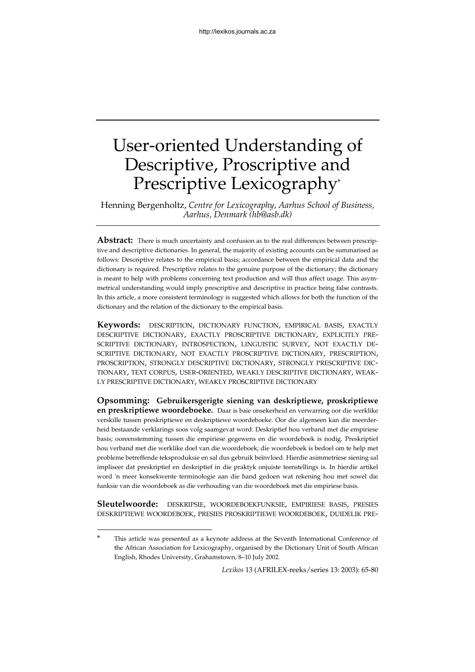# User-oriented Understanding of Descriptive, Proscriptive and Prescriptive Lexicography[\\*](#page-0-0)

Henning Bergenholtz, *Centre for Lexicography, Aarhus School of Business, Aarhus, Denmark (hb@asb.dk)*

**Abstract:** There is much uncertainty and confusion as to the real differences between prescriptive and descriptive dictionaries. In general, the majority of existing accounts can be summarised as follows: Descriptive relates to the empirical basis; accordance between the empirical data and the dictionary is required. Prescriptive relates to the genuine purpose of the dictionary; the dictionary is meant to help with problems concerning text production and will thus affect usage. This asymmetrical understanding would imply prescriptive and descriptive in practice being false contrasts. In this article, a more consistent terminology is suggested which allows for both the function of the dictionary and the relation of the dictionary to the empirical basis.

**Keywords:** DESCRIPTION, DICTIONARY FUNCTION, EMPIRICAL BASIS, EXACTLY DESCRIPTIVE DICTIONARY, EXACTLY PROSCRIPTIVE DICTIONARY, EXPLICITLY PRE-SCRIPTIVE DICTIONARY, INTROSPECTION, LINGUISTIC SURVEY, NOT EXACTLY DE-SCRIPTIVE DICTIONARY, NOT EXACTLY PROSCRIPTIVE DICTIONARY, PRESCRIPTION, PROSCRIPTION, STRONGLY DESCRIPTIVE DICTIONARY, STRONGLY PRESCRIPTIVE DIC-TIONARY, TEXT CORPUS, USER-ORIENTED, WEAKLY DESCRIPTIVE DICTIONARY, WEAK-LY PRESCRIPTIVE DICTIONARY, WEAKLY PROSCRIPTIVE DICTIONARY

**Opsomming: Gebruikersgerigte siening van deskriptiewe, proskriptiewe en preskriptiewe woordeboeke.** Daar is baie onsekerheid en verwarring oor die werklike verskille tussen preskriptiewe en deskriptiewe woordeboeke. Oor die algemeen kan die meerderheid bestaande verklarings soos volg saamgevat word: Deskriptief hou verband met die empiriese basis; ooreenstemming tussen die empiriese gegewens en die woordeboek is nodig. Preskriptief hou verband met die werklike doel van die woordeboek; die woordeboek is bedoel om te help met probleme betreffende teksproduksie en sal dus gebruik beïnvloed. Hierdie asimmetriese siening sal impliseer dat preskriptief en deskriptief in die praktyk onjuiste teenstellings is. In hierdie artikel word 'n meer konsekwente terminologie aan die hand gedoen wat rekening hou met sowel die funksie van die woordeboek as die verhouding van die woordeboek met die empiriese basis.

**Sleutelwoorde:** DESKRIPSIE, WOORDEBOEKFUNKSIE, EMPIRIESE BASIS, PRESIES DESKRIPTIEWE WOORDEBOEK, PRESIES PROSKRIPTIEWE WOORDEBOEK, DUIDELIK PRE-

l

<span id="page-0-0"></span>This article was presented as a keynote address at the Seventh International Conference of the African Association for Lexicography, organised by the Dictionary Unit of South African English, Rhodes University, Grahamstown, 8–10 July 2002.

*Lexikos* 13 (AFRILEX-reeks/series 13: 2003): 65-80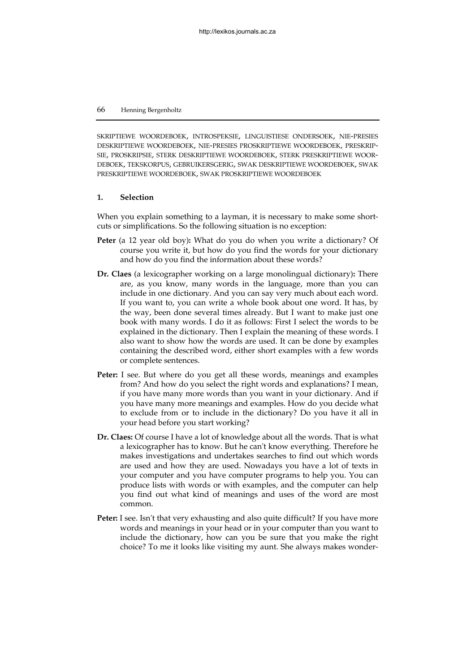SKRIPTIEWE WOORDEBOEK, INTROSPEKSIE, LINGUISTIESE ONDERSOEK, NIE-PRESIES DESKRIPTIEWE WOORDEBOEK, NIE-PRESIES PROSKRIPTIEWE WOORDEBOEK, PRESKRIP-SIE, PROSKRIPSIE, STERK DESKRIPTIEWE WOORDEBOEK, STERK PRESKRIPTIEWE WOOR-DEBOEK, TEKSKORPUS, GEBRUIKERSGERIG, SWAK DESKRIPTIEWE WOORDEBOEK, SWAK PRESKRIPTIEWE WOORDEBOEK, SWAK PROSKRIPTIEWE WOORDEBOEK

#### **1. Selection**

When you explain something to a layman, it is necessary to make some shortcuts or simplifications. So the following situation is no exception:

- **Peter** (a 12 year old boy)**:** What do you do when you write a dictionary? Of course you write it, but how do you find the words for your dictionary and how do you find the information about these words?
- **Dr. Claes** (a lexicographer working on a large monolingual dictionary)**:** There are, as you know, many words in the language, more than you can include in one dictionary. And you can say very much about each word. If you want to, you can write a whole book about one word. It has, by the way, been done several times already. But I want to make just one book with many words. I do it as follows: First I select the words to be explained in the dictionary. Then I explain the meaning of these words. I also want to show how the words are used. It can be done by examples containing the described word, either short examples with a few words or complete sentences.
- **Peter:** I see. But where do you get all these words, meanings and examples from? And how do you select the right words and explanations? I mean, if you have many more words than you want in your dictionary. And if you have many more meanings and examples. How do you decide what to exclude from or to include in the dictionary? Do you have it all in your head before you start working?
- **Dr. Claes:** Of course I have a lot of knowledge about all the words. That is what a lexicographer has to know. But he can't know everything. Therefore he makes investigations and undertakes searches to find out which words are used and how they are used. Nowadays you have a lot of texts in your computer and you have computer programs to help you. You can produce lists with words or with examples, and the computer can help you find out what kind of meanings and uses of the word are most common.
- **Peter:** I see. Isn't that very exhausting and also quite difficult? If you have more words and meanings in your head or in your computer than you want to include the dictionary, how can you be sure that you make the right choice? To me it looks like visiting my aunt. She always makes wonder-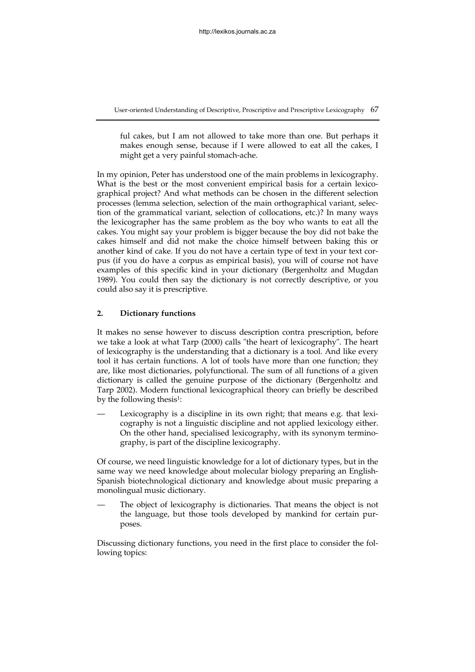ful cakes, but I am not allowed to take more than one. But perhaps it makes enough sense, because if I were allowed to eat all the cakes, I might get a very painful stomach-ache.

In my opinion, Peter has understood one of the main problems in lexicography. What is the best or the most convenient empirical basis for a certain lexicographical project? And what methods can be chosen in the different selection processes (lemma selection, selection of the main orthographical variant, selection of the grammatical variant, selection of collocations, etc.)? In many ways the lexicographer has the same problem as the boy who wants to eat all the cakes. You might say your problem is bigger because the boy did not bake the cakes himself and did not make the choice himself between baking this or another kind of cake. If you do not have a certain type of text in your text corpus (if you do have a corpus as empirical basis), you will of course not have examples of this specific kind in your dictionary (Bergenholtz and Mugdan 1989). You could then say the dictionary is not correctly descriptive, or you could also say it is prescriptive.

# **2. Dictionary functions**

It makes no sense however to discuss description contra prescription, before we take a look at what Tarp (2000) calls "the heart of lexicography". The heart of lexicography is the understanding that a dictionary is a tool. And like every tool it has certain functions. A lot of tools have more than one function; they are, like most dictionaries, polyfunctional. The sum of all functions of a given dictionary is called the genuine purpose of the dictionary (Bergenholtz and Tarp 2002). Modern functional lexicographical theory can briefly be described by the following thesis<sup>1</sup>:

Lexicography is a discipline in its own right; that means e.g. that lexicography is not a linguistic discipline and not applied lexicology either. On the other hand, specialised lexicography, with its synonym terminography, is part of the discipline lexicography.

Of course, we need linguistic knowledge for a lot of dictionary types, but in the same way we need knowledge about molecular biology preparing an English-Spanish biotechnological dictionary and knowledge about music preparing a monolingual music dictionary.

The object of lexicography is dictionaries. That means the object is not the language, but those tools developed by mankind for certain purposes.

Discussing dictionary functions, you need in the first place to consider the following topics: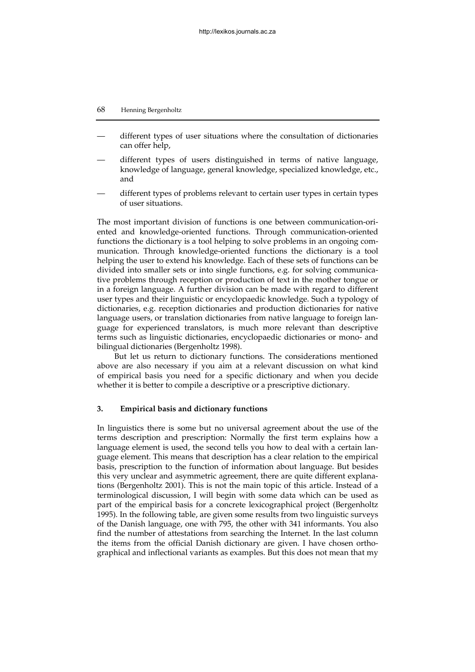- different types of user situations where the consultation of dictionaries can offer help,
- different types of users distinguished in terms of native language, knowledge of language, general knowledge, specialized knowledge, etc., and
- different types of problems relevant to certain user types in certain types of user situations.

The most important division of functions is one between communication-oriented and knowledge-oriented functions. Through communication-oriented functions the dictionary is a tool helping to solve problems in an ongoing communication. Through knowledge-oriented functions the dictionary is a tool helping the user to extend his knowledge. Each of these sets of functions can be divided into smaller sets or into single functions, e.g. for solving communicative problems through reception or production of text in the mother tongue or in a foreign language. A further division can be made with regard to different user types and their linguistic or encyclopaedic knowledge. Such a typology of dictionaries, e.g. reception dictionaries and production dictionaries for native language users, or translation dictionaries from native language to foreign language for experienced translators, is much more relevant than descriptive terms such as linguistic dictionaries, encyclopaedic dictionaries or mono- and bilingual dictionaries (Bergenholtz 1998).

But let us return to dictionary functions. The considerations mentioned above are also necessary if you aim at a relevant discussion on what kind of empirical basis you need for a specific dictionary and when you decide whether it is better to compile a descriptive or a prescriptive dictionary.

#### **3. Empirical basis and dictionary functions**

In linguistics there is some but no universal agreement about the use of the terms description and prescription: Normally the first term explains how a language element is used, the second tells you how to deal with a certain language element. This means that description has a clear relation to the empirical basis, prescription to the function of information about language. But besides this very unclear and asymmetric agreement, there are quite different explanations (Bergenholtz 2001). This is not the main topic of this article. Instead of a terminological discussion, I will begin with some data which can be used as part of the empirical basis for a concrete lexicographical project (Bergenholtz 1995). In the following table, are given some results from two linguistic surveys of the Danish language, one with 795, the other with 341 informants. You also find the number of attestations from searching the Internet. In the last column the items from the official Danish dictionary are given. I have chosen orthographical and inflectional variants as examples. But this does not mean that my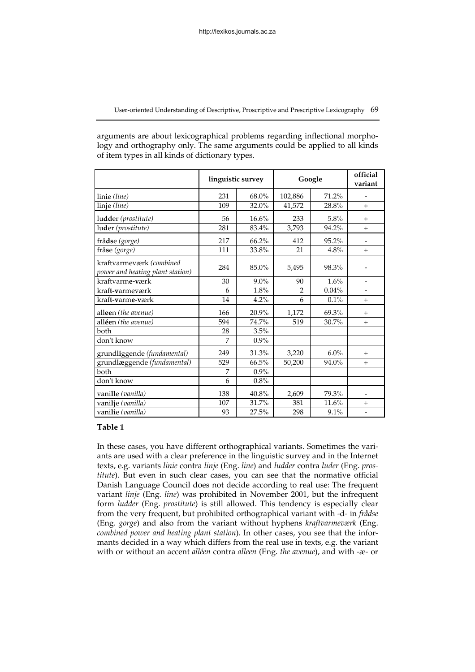**linguistic survey Google official variant**  lin**i**e *(line)* 231 68.0% 102,886 71.2% lin**j**e *(line)* 109 32.0% 41,572 28.8% + lu**dd**er *(prostitute)* 56 16.6% 233 5.8% + lu**d**er *(prostitute)* 281 83.4% 3,793 94.2% + frå**ds**e *(gorge)* 217 66.2% 412 95.2% frå**s**e *(gorge)* 111 33.8% 21 4.8% + kraftvarmeværk *(combined power and heating plant station)* 284 85.0% 5,495 98.3% kraftvarm**e-v**ærk 30 9.0% 90 1.6% kraf**t-v**armeværk 6 1.8% 2 0.04% kraft-varme-værk 14 4.2% 6 0.1% + alleen *(the avenue)* 166 20.9% 1,172 69.3% all**ée**n *(the avenue)* 594 74.7% 519 30.7% + both  $28$   $3.5\%$  $\frac{1}{7}$  0.9% grundliggende *(fundamental)* 249 31.3% 3,220 6.0% + grundl**æ**ggende *(fundamental)* 529 66.5% 50,200 94.0% + both 7 0.9%  $\frac{1}{6}$  0.8% vani**ll**e *(vanilla)* 138 40.8% 2,609 79.3% vani**lj**e *(vanilla)* 107 31.7% 381 11.6% + vanilie *(vanilla)* 193 27.5% 298 9.1%

arguments are about lexicographical problems regarding inflectional morphology and orthography only. The same arguments could be applied to all kinds of item types in all kinds of dictionary types.

# **Table 1**

In these cases, you have different orthographical variants. Sometimes the variants are used with a clear preference in the linguistic survey and in the Internet texts, e.g. variants *linie* contra *linje* (Eng. *line*) and *ludder* contra *luder* (Eng. *prostitute*). But even in such clear cases, you can see that the normative official Danish Language Council does not decide according to real use: The frequent variant *linje* (Eng. *line*) was prohibited in November 2001, but the infrequent form *ludder* (Eng. *prostitute*) is still allowed. This tendency is especially clear from the very frequent, but prohibited orthographical variant with -d- in *frådse* (Eng. *gorge*) and also from the variant without hyphens *kraftvarmeværk* (Eng. *combined power and heating plant station*). In other cases, you see that the informants decided in a way which differs from the real use in texts, e.g. the variant with or without an accent *alléen* contra *alleen* (Eng. *the avenue*), and with -æ- or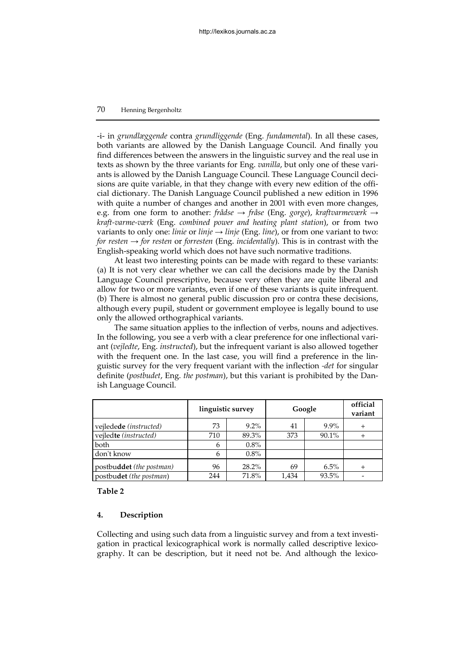-i- in *grundlæggende* contra *grundliggende* (Eng. *fundamental*). In all these cases, both variants are allowed by the Danish Language Council. And finally you find differences between the answers in the linguistic survey and the real use in texts as shown by the three variants for Eng. *vanilla*, but only one of these variants is allowed by the Danish Language Council. These Language Council decisions are quite variable, in that they change with every new edition of the official dictionary. The Danish Language Council published a new edition in 1996 with quite a number of changes and another in 2001 with even more changes, e.g. from one form to another: *frådse* → *fråse* (Eng. *gorge*), *kraftvarmeværk* → *kraft-varme-værk* (Eng. *combined power and heating plant station*), or from two variants to only one: *linie* or *linje*  $\rightarrow$  *linje* (Eng. *line*), or from one variant to two: *for resten*  $\rightarrow$  *for resten* or *forresten* (Eng. *incidentally*). This is in contrast with the English-speaking world which does not have such normative traditions.

At least two interesting points can be made with regard to these variants: (a) It is not very clear whether we can call the decisions made by the Danish Language Council prescriptive, because very often they are quite liberal and allow for two or more variants, even if one of these variants is quite infrequent. (b) There is almost no general public discussion pro or contra these decisions, although every pupil, student or government employee is legally bound to use only the allowed orthographical variants.

The same situation applies to the inflection of verbs, nouns and adjectives. In the following, you see a verb with a clear preference for one inflectional variant (*vejledte*, Eng. *instructed*), but the infrequent variant is also allowed together with the frequent one. In the last case, you will find a preference in the linguistic survey for the very frequent variant with the inflection *-det* for singular definite (*postbudet*, Eng. *the postman*), but this variant is prohibited by the Danish Language Council.

|                                 | linguistic survey |         | Google |         | official<br>variant |
|---------------------------------|-------------------|---------|--------|---------|---------------------|
| vejledede ( <i>instructed</i> ) | 73                | $9.2\%$ | 41     | $9.9\%$ |                     |
| vejledte (instructed)           | 710               | 89.3%   | 373    | 90.1%   |                     |
| both                            | 6                 | 0.8%    |        |         |                     |
| don't know                      | 6                 | 0.8%    |        |         |                     |
| postbuddet (the postman)        | 96                | 28.2%   | 69     | 6.5%    |                     |
| postbudet (the postman)         | 244               | 71.8%   | 1,434  | 93.5%   |                     |

#### **Table 2**

#### **4. Description**

Collecting and using such data from a linguistic survey and from a text investigation in practical lexicographical work is normally called descriptive lexicography. It can be description, but it need not be. And although the lexico-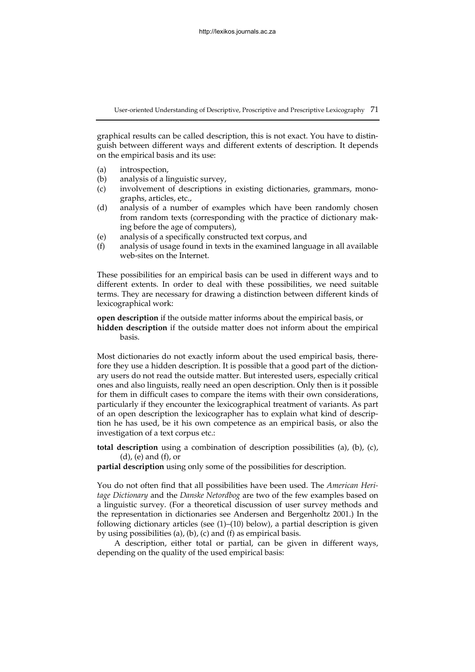graphical results can be called description, this is not exact. You have to distinguish between different ways and different extents of description. It depends on the empirical basis and its use:

- (a) introspection,
- (b) analysis of a linguistic survey,
- (c) involvement of descriptions in existing dictionaries, grammars, monographs, articles, etc.,
- (d) analysis of a number of examples which have been randomly chosen from random texts (corresponding with the practice of dictionary making before the age of computers),
- (e) analysis of a specifically constructed text corpus, and
- (f) analysis of usage found in texts in the examined language in all available web-sites on the Internet.

These possibilities for an empirical basis can be used in different ways and to different extents. In order to deal with these possibilities, we need suitable terms. They are necessary for drawing a distinction between different kinds of lexicographical work:

**open description** if the outside matter informs about the empirical basis, or **hidden description** if the outside matter does not inform about the empirical basis.

Most dictionaries do not exactly inform about the used empirical basis, therefore they use a hidden description. It is possible that a good part of the dictionary users do not read the outside matter. But interested users, especially critical ones and also linguists, really need an open description. Only then is it possible for them in difficult cases to compare the items with their own considerations, particularly if they encounter the lexicographical treatment of variants. As part of an open description the lexicographer has to explain what kind of description he has used, be it his own competence as an empirical basis, or also the investigation of a text corpus etc.:

**total description** using a combination of description possibilities (a), (b), (c), (d), (e) and (f), or

**partial description** using only some of the possibilities for description.

You do not often find that all possibilities have been used. The *American Heritage Dictionary* and the *Danske Netordbog* are two of the few examples based on a linguistic survey. (For a theoretical discussion of user survey methods and the representation in dictionaries see Andersen and Bergenholtz 2001.) In the following dictionary articles (see (1)–(10) below), a partial description is given by using possibilities (a), (b), (c) and (f) as empirical basis.

A description, either total or partial, can be given in different ways, depending on the quality of the used empirical basis: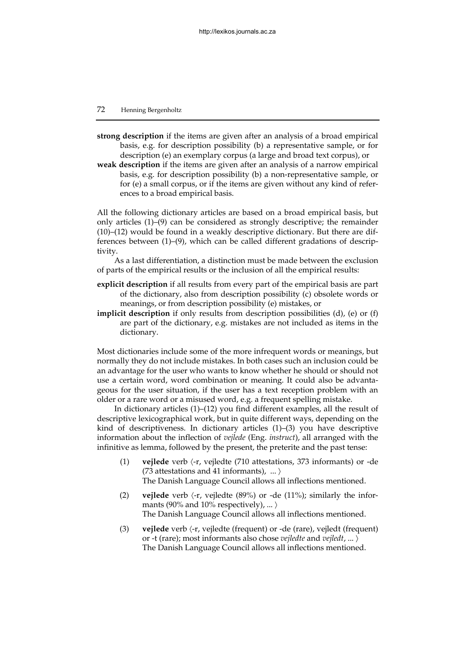- **strong description** if the items are given after an analysis of a broad empirical basis, e.g. for description possibility (b) a representative sample, or for description (e) an exemplary corpus (a large and broad text corpus), or
- **weak description** if the items are given after an analysis of a narrow empirical basis, e.g. for description possibility (b) a non-representative sample, or for (e) a small corpus, or if the items are given without any kind of references to a broad empirical basis.

All the following dictionary articles are based on a broad empirical basis, but only articles (1)–(9) can be considered as strongly descriptive; the remainder (10)–(12) would be found in a weakly descriptive dictionary. But there are differences between  $(1)$ – $(9)$ , which can be called different gradations of descriptivity.

As a last differentiation, a distinction must be made between the exclusion of parts of the empirical results or the inclusion of all the empirical results:

- **explicit description** if all results from every part of the empirical basis are part of the dictionary, also from description possibility (c) obsolete words or meanings, or from description possibility (e) mistakes, or
- **implicit description** if only results from description possibilities (d), (e) or (f) are part of the dictionary, e.g. mistakes are not included as items in the dictionary.

Most dictionaries include some of the more infrequent words or meanings, but normally they do not include mistakes. In both cases such an inclusion could be an advantage for the user who wants to know whether he should or should not use a certain word, word combination or meaning. It could also be advantageous for the user situation, if the user has a text reception problem with an older or a rare word or a misused word, e.g. a frequent spelling mistake.

In dictionary articles (1)–(12) you find different examples, all the result of descriptive lexicographical work, but in quite different ways, depending on the kind of descriptiveness. In dictionary articles (1)–(3) you have descriptive information about the inflection of *vejlede* (Eng. *instruct*), all arranged with the infinitive as lemma, followed by the present, the preterite and the past tense:

- (1) **vejlede** verb 〈-r, vejledte (710 attestations, 373 informants) or -de (73 attestations and 41 informants),  $\ldots$ ) The Danish Language Council allows all inflections mentioned.
- (2) **vejlede** verb 〈-r, vejledte (89%) or -de (11%); similarly the informants (90% and 10% respectively), ...  $\rangle$ The Danish Language Council allows all inflections mentioned.
- (3) **vejlede** verb 〈-r, vejledte (frequent) or -de (rare), vejledt (frequent) or -t (rare); most informants also chose *vejledte* and *vejledt*, ... 〉 The Danish Language Council allows all inflections mentioned.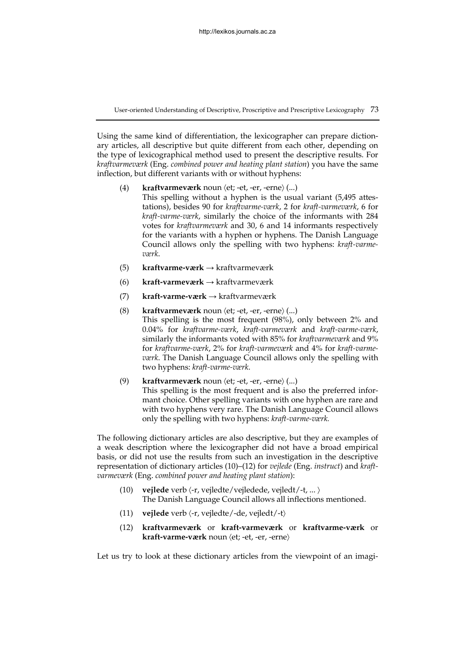Using the same kind of differentiation, the lexicographer can prepare dictionary articles, all descriptive but quite different from each other, depending on the type of lexicographical method used to present the descriptive results. For *kraftvarmeværk* (Eng. *combined power and heating plant station*) you have the same inflection, but different variants with or without hyphens:

- (4) **kraftvarmeværk** noun 〈et; -et, -er, -erne〉 (...) This spelling without a hyphen is the usual variant (5,495 attestations), besides 90 for *kraftvarme-værk*, 2 for *kraft-varmeværk*, 6 for *kraft-varme-værk*, similarly the choice of the informants with 284 votes for *kraftvarmeværk* and 30, 6 and 14 informants respectively for the variants with a hyphen or hyphens. The Danish Language Council allows only the spelling with two hyphens: *kraft-varmeværk*.
- (5) **kraftvarme-værk** → kraftvarmeværk
- (6) **kraft-varmeværk** → kraftvarmeværk
- (7) **kraft-varme-værk** → kraftvarmeværk
- (8) **kraftvarmeværk** noun 〈et; -et, -er, -erne〉 (...) This spelling is the most frequent (98%), only between 2% and 0.04% for *kraftvarme-værk*, *kraft-varmeværk* and *kraft-varme-værk*, similarly the informants voted with 85% for *kraftvarmeværk* and 9% for *kraftvarme-værk*, 2% for *kraft-varmeværk* and 4% for *kraft-varmeværk*. The Danish Language Council allows only the spelling with two hyphens: *kraft-varme-værk*.
- (9) **kraftvarmeværk** noun 〈et; -et, -er, -erne〉 (...) This spelling is the most frequent and is also the preferred informant choice. Other spelling variants with one hyphen are rare and with two hyphens very rare. The Danish Language Council allows only the spelling with two hyphens: *kraft-varme-værk.*

The following dictionary articles are also descriptive, but they are examples of a weak description where the lexicographer did not have a broad empirical basis, or did not use the results from such an investigation in the descriptive representation of dictionary articles (10)–(12) for *vejlede* (Eng. *instruct*) and *kraftvarmeværk* (Eng. *combined power and heating plant station*):

- (10) **vejlede** verb 〈-r, vejledte/vejledede, vejledt/-t, ... 〉 The Danish Language Council allows all inflections mentioned.
- (11) **vejlede** verb 〈-r, vejledte/-de, vejledt/-t〉
- (12) **kraftvarmeværk** or **kraft-varmeværk** or **kraftvarme-værk** or **kraft-varme-værk** noun 〈et; -et, -er, -erne〉

Let us try to look at these dictionary articles from the viewpoint of an imagi-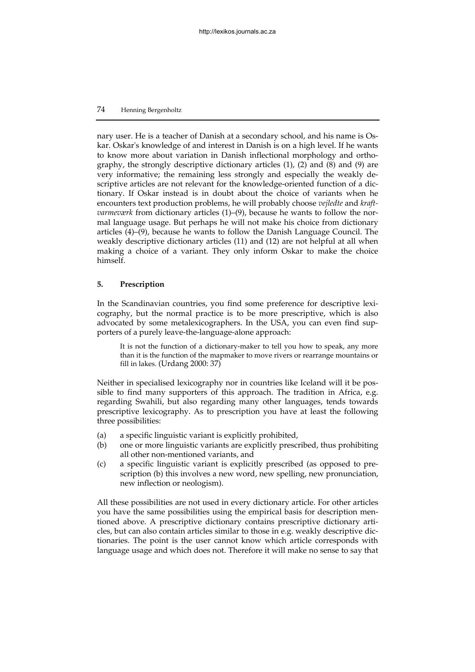nary user. He is a teacher of Danish at a secondary school, and his name is Oskar. Oskar's knowledge of and interest in Danish is on a high level. If he wants to know more about variation in Danish inflectional morphology and orthography, the strongly descriptive dictionary articles  $(1)$ ,  $(2)$  and  $(8)$  and  $(9)$  are very informative; the remaining less strongly and especially the weakly descriptive articles are not relevant for the knowledge-oriented function of a dictionary. If Oskar instead is in doubt about the choice of variants when he encounters text production problems, he will probably choose *vejledte* and *kraftvarmeværk* from dictionary articles (1)–(9), because he wants to follow the normal language usage. But perhaps he will not make his choice from dictionary articles (4)–(9), because he wants to follow the Danish Language Council. The weakly descriptive dictionary articles (11) and (12) are not helpful at all when making a choice of a variant. They only inform Oskar to make the choice himself.

#### **5. Prescription**

In the Scandinavian countries, you find some preference for descriptive lexicography, but the normal practice is to be more prescriptive, which is also advocated by some metalexicographers. In the USA, you can even find supporters of a purely leave-the-language-alone approach:

 It is not the function of a dictionary-maker to tell you how to speak, any more than it is the function of the mapmaker to move rivers or rearrange mountains or fill in lakes. (Urdang 2000: 37)

Neither in specialised lexicography nor in countries like Iceland will it be possible to find many supporters of this approach. The tradition in Africa, e.g. regarding Swahili, but also regarding many other languages, tends towards prescriptive lexicography. As to prescription you have at least the following three possibilities:

- (a) a specific linguistic variant is explicitly prohibited,
- (b) one or more linguistic variants are explicitly prescribed, thus prohibiting all other non-mentioned variants, and
- (c) a specific linguistic variant is explicitly prescribed (as opposed to prescription (b) this involves a new word, new spelling, new pronunciation, new inflection or neologism).

All these possibilities are not used in every dictionary article. For other articles you have the same possibilities using the empirical basis for description mentioned above. A prescriptive dictionary contains prescriptive dictionary articles, but can also contain articles similar to those in e.g. weakly descriptive dictionaries. The point is the user cannot know which article corresponds with language usage and which does not. Therefore it will make no sense to say that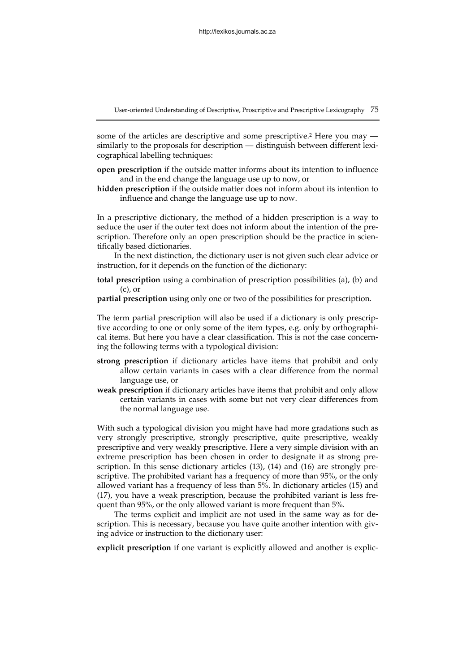some of the articles are descriptive and some prescriptive.<sup>2</sup> Here you may similarly to the proposals for description — distinguish between different lexicographical labelling techniques:

- **open prescription** if the outside matter informs about its intention to influence and in the end change the language use up to now, or
- **hidden prescription** if the outside matter does not inform about its intention to influence and change the language use up to now.

In a prescriptive dictionary, the method of a hidden prescription is a way to seduce the user if the outer text does not inform about the intention of the prescription. Therefore only an open prescription should be the practice in scientifically based dictionaries.

In the next distinction, the dictionary user is not given such clear advice or instruction, for it depends on the function of the dictionary:

**total prescription** using a combination of prescription possibilities (a), (b) and (c), or

**partial prescription** using only one or two of the possibilities for prescription.

The term partial prescription will also be used if a dictionary is only prescriptive according to one or only some of the item types, e.g. only by orthographical items. But here you have a clear classification. This is not the case concerning the following terms with a typological division:

- **strong prescription** if dictionary articles have items that prohibit and only allow certain variants in cases with a clear difference from the normal language use, or
- **weak prescription** if dictionary articles have items that prohibit and only allow certain variants in cases with some but not very clear differences from the normal language use.

With such a typological division you might have had more gradations such as very strongly prescriptive, strongly prescriptive, quite prescriptive, weakly prescriptive and very weakly prescriptive. Here a very simple division with an extreme prescription has been chosen in order to designate it as strong prescription. In this sense dictionary articles (13), (14) and (16) are strongly prescriptive. The prohibited variant has a frequency of more than 95%, or the only allowed variant has a frequency of less than 5%. In dictionary articles (15) and (17), you have a weak prescription, because the prohibited variant is less frequent than 95%, or the only allowed variant is more frequent than 5%.

The terms explicit and implicit are not used in the same way as for description. This is necessary, because you have quite another intention with giving advice or instruction to the dictionary user:

**explicit prescription** if one variant is explicitly allowed and another is explic-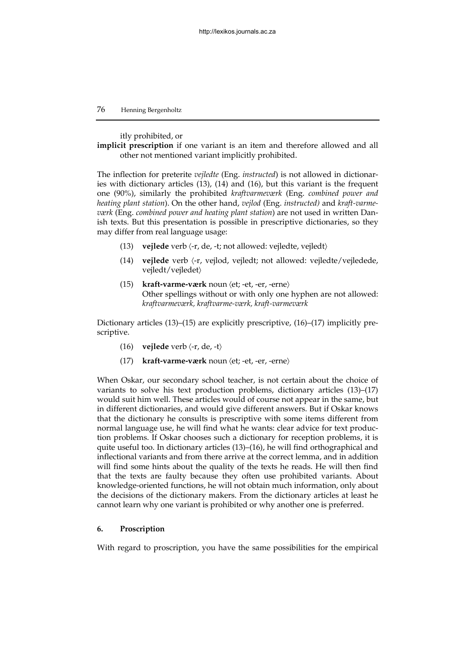itly prohibited, or

**implicit prescription** if one variant is an item and therefore allowed and all other not mentioned variant implicitly prohibited.

The inflection for preterite *vejledte* (Eng. *instructed*) is not allowed in dictionaries with dictionary articles (13), (14) and (16), but this variant is the frequent one (90%), similarly the prohibited *kraftvarmeværk* (Eng. *combined power and heating plant station*). On the other hand, *vejlod* (Eng. *instructed)* and *kraft-varmeværk* (Eng. *combined power and heating plant station*) are not used in written Danish texts. But this presentation is possible in prescriptive dictionaries, so they may differ from real language usage:

- (13) **vejlede** verb  $\langle$ -r, de, -t; not allowed: vejledte, vejledt $\rangle$
- (14) **vejlede** verb 〈-r, vejlod, vejledt; not allowed: vejledte/vejledede, vejledt/vejledet〉
- (15) **kraft-varme-værk** noun 〈et; -et, -er, -erne〉 Other spellings without or with only one hyphen are not allowed: *kraftvarmeværk, kraftvarme-værk, kraft-varmeværk*

Dictionary articles (13)–(15) are explicitly prescriptive, (16)–(17) implicitly prescriptive.

- (16) **vejlede** verb 〈-r, de, -t〉
- (17) **kraft-varme-værk** noun 〈et; -et, -er, -erne〉

When Oskar, our secondary school teacher, is not certain about the choice of variants to solve his text production problems, dictionary articles (13)–(17) would suit him well. These articles would of course not appear in the same, but in different dictionaries, and would give different answers. But if Oskar knows that the dictionary he consults is prescriptive with some items different from normal language use, he will find what he wants: clear advice for text production problems. If Oskar chooses such a dictionary for reception problems, it is quite useful too. In dictionary articles (13)–(16), he will find orthographical and inflectional variants and from there arrive at the correct lemma, and in addition will find some hints about the quality of the texts he reads. He will then find that the texts are faulty because they often use prohibited variants. About knowledge-oriented functions, he will not obtain much information, only about the decisions of the dictionary makers. From the dictionary articles at least he cannot learn why one variant is prohibited or why another one is preferred.

#### **6. Proscription**

With regard to proscription, you have the same possibilities for the empirical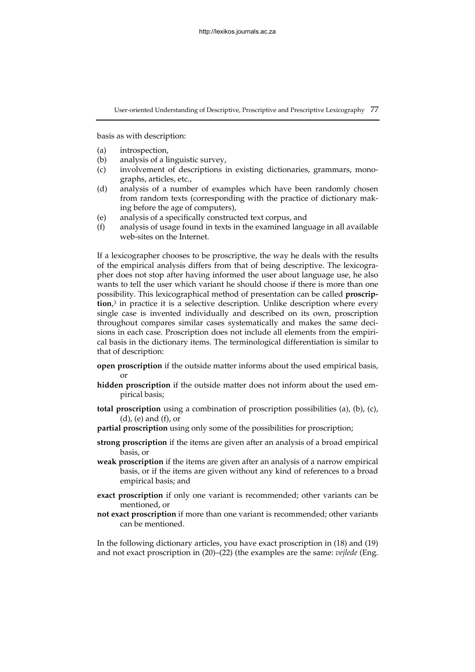basis as with description:

- (a) introspection,
- (b) analysis of a linguistic survey,
- (c) involvement of descriptions in existing dictionaries, grammars, monographs, articles, etc.,
- (d) analysis of a number of examples which have been randomly chosen from random texts (corresponding with the practice of dictionary making before the age of computers),
- (e) analysis of a specifically constructed text corpus, and
- (f) analysis of usage found in texts in the examined language in all available web-sites on the Internet.

If a lexicographer chooses to be proscriptive, the way he deals with the results of the empirical analysis differs from that of being descriptive. The lexicographer does not stop after having informed the user about language use, he also wants to tell the user which variant he should choose if there is more than one possibility. This lexicographical method of presentation can be called **proscription**, 3 in practice it is a selective description. Unlike description where every single case is invented individually and described on its own, proscription throughout compares similar cases systematically and makes the same decisions in each case. Proscription does not include all elements from the empirical basis in the dictionary items. The terminological differentiation is similar to that of description:

- **open proscription** if the outside matter informs about the used empirical basis, or
- **hidden proscription** if the outside matter does not inform about the used empirical basis;
- **total proscription** using a combination of proscription possibilities (a), (b), (c), (d), (e) and (f), or
- **partial proscription** using only some of the possibilities for proscription;
- **strong proscription** if the items are given after an analysis of a broad empirical basis, or
- **weak proscription** if the items are given after an analysis of a narrow empirical basis, or if the items are given without any kind of references to a broad empirical basis; and
- **exact proscription** if only one variant is recommended; other variants can be mentioned, or
- **not exact proscription** if more than one variant is recommended; other variants can be mentioned.

In the following dictionary articles, you have exact proscription in (18) and (19) and not exact proscription in (20)–(22) (the examples are the same: *vejlede* (Eng.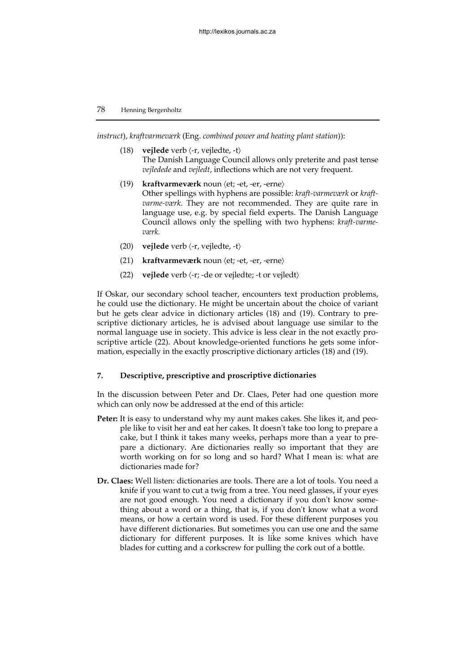*instruct*), *kraftvarmeværk* (Eng. *combined power and heating plant station*)):

- (18) **vejlede** verb 〈-r, vejledte, -t〉 The Danish Language Council allows only preterite and past tense *vejledede* and *vejledt*, inflections which are not very frequent.
- (19) **kraftvarmeværk** noun 〈et; -et, -er, -erne〉 Other spellings with hyphens are possible: *kraft-varmeværk* or *kraftvarme-værk*. They are not recommended. They are quite rare in language use, e.g. by special field experts. The Danish Language Council allows only the spelling with two hyphens: *kraft-varmeværk.*
- (20) **vejlede** verb 〈-r, vejledte, -t〉
- (21) **kraftvarmeværk** noun 〈et; -et, -er, -erne〉
- (22) **vejlede** verb  $\langle$ -r; -de or vejledte; -t or vejledt $\rangle$

If Oskar, our secondary school teacher, encounters text production problems, he could use the dictionary. He might be uncertain about the choice of variant but he gets clear advice in dictionary articles (18) and (19). Contrary to prescriptive dictionary articles, he is advised about language use similar to the normal language use in society. This advice is less clear in the not exactly proscriptive article (22). About knowledge-oriented functions he gets some information, especially in the exactly proscriptive dictionary articles (18) and (19).

# **7. Descriptive, prescriptive and proscriptive dictionaries**

In the discussion between Peter and Dr. Claes, Peter had one question more which can only now be addressed at the end of this article:

- **Peter:** It is easy to understand why my aunt makes cakes. She likes it, and people like to visit her and eat her cakes. It doesn't take too long to prepare a cake, but I think it takes many weeks, perhaps more than a year to prepare a dictionary. Are dictionaries really so important that they are worth working on for so long and so hard? What I mean is: what are dictionaries made for?
- **Dr. Claes:** Well listen: dictionaries are tools. There are a lot of tools. You need a knife if you want to cut a twig from a tree. You need glasses, if your eyes are not good enough. You need a dictionary if you don't know something about a word or a thing, that is, if you don't know what a word means, or how a certain word is used. For these different purposes you have different dictionaries. But sometimes you can use one and the same dictionary for different purposes. It is like some knives which have blades for cutting and a corkscrew for pulling the cork out of a bottle.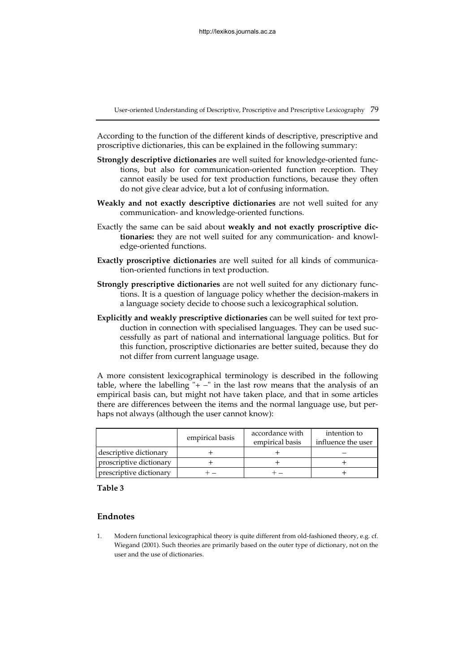According to the function of the different kinds of descriptive, prescriptive and proscriptive dictionaries, this can be explained in the following summary:

- **Strongly descriptive dictionaries** are well suited for knowledge-oriented functions, but also for communication-oriented function reception. They cannot easily be used for text production functions, because they often do not give clear advice, but a lot of confusing information.
- **Weakly and not exactly descriptive dictionaries** are not well suited for any communication- and knowledge-oriented functions.
- Exactly the same can be said about **weakly and not exactly proscriptive dictionaries:** they are not well suited for any communication- and knowledge-oriented functions.
- **Exactly proscriptive dictionaries** are well suited for all kinds of communication-oriented functions in text production.
- **Strongly prescriptive dictionaries** are not well suited for any dictionary functions. It is a question of language policy whether the decision-makers in a language society decide to choose such a lexicographical solution.
- **Explicitly and weakly prescriptive dictionaries** can be well suited for text production in connection with specialised languages. They can be used successfully as part of national and international language politics. But for this function, proscriptive dictionaries are better suited, because they do not differ from current language usage.

A more consistent lexicographical terminology is described in the following table, where the labelling "+  $-$ " in the last row means that the analysis of an empirical basis can, but might not have taken place, and that in some articles there are differences between the items and the normal language use, but perhaps not always (although the user cannot know):

|                         | empirical basis | accordance with<br>empirical basis | intention to<br>influence the user |
|-------------------------|-----------------|------------------------------------|------------------------------------|
| descriptive dictionary  |                 |                                    |                                    |
| proscriptive dictionary |                 |                                    |                                    |
| prescriptive dictionary |                 |                                    |                                    |

#### **Table 3**

# **Endnotes**

1. Modern functional lexicographical theory is quite different from old-fashioned theory, e.g. cf. Wiegand (2001). Such theories are primarily based on the outer type of dictionary, not on the user and the use of dictionaries.